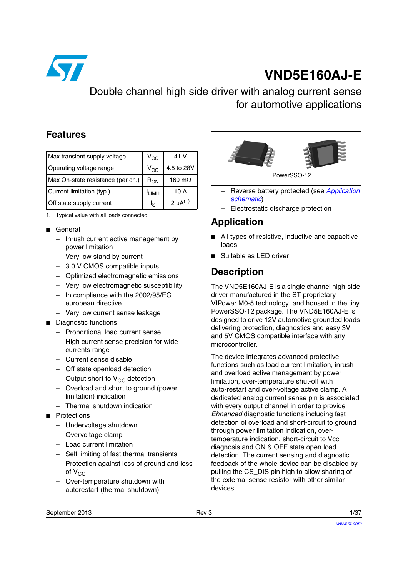

# **VND5E160AJ-E**

### Double channel high side driver with analog current sense for automotive applications

### **Features**

| Max transient supply voltage      | $V_{\rm CC}$      | 41 V            |
|-----------------------------------|-------------------|-----------------|
| Operating voltage range           | $V_{CC}$          | 4.5 to 28V      |
| Max On-state resistance (per ch.) | $R_{ON}$          | 160 m $\Omega$  |
| Current limitation (typ.)         | <sup>I</sup> LIMH | 10 A            |
| Off state supply current          | ls                | 2 $\mu A^{(1)}$ |

1. Typical value with all loads connected.

- General
	- Inrush current active management by power limitation
	- Very low stand-by current
	- 3.0 V CMOS compatible inputs
	- Optimized electromagnetic emissions
	- Very low electromagnetic susceptibility
	- In compliance with the 2002/95/EC european directive
	- Very low current sense leakage
- Diagnostic functions
	- Proportional load current sense
	- High current sense precision for wide currents range
	- Current sense disable
	- Off state openload detection
	- Output short to  $V_{CC}$  detection
	- Overload and short to ground (power limitation) indication
	- Thermal shutdown indication
- Protections
	- Undervoltage shutdown
	- Overvoltage clamp
	- Load current limitation
	- Self limiting of fast thermal transients
	- Protection against loss of ground and loss of  $V_{CC}$
	- Over-temperature shutdown with autorestart (thermal shutdown)



- Reverse battery protected (see *[Application](#page-23-0)  [schematic](#page-23-0)*)
- Electrostatic discharge protection

### **Application**

- All types of resistive, inductive and capacitive loads
- Suitable as LED driver

### **Description**

The VND5E160AJ-E is a single channel high-side driver manufactured in the ST proprietary VIPower M0-5 technology and housed in the tiny PowerSSO-12 package. The VND5E160AJ-E is designed to drive 12V automotive grounded loads delivering protection, diagnostics and easy 3V and 5V CMOS compatible interface with any microcontroller.

The device integrates advanced protective functions such as load current limitation, inrush and overload active management by power limitation, over-temperature shut-off with auto-restart and over-voltage active clamp. A dedicated analog current sense pin is associated with every output channel in order to provide *Ehnanced* diagnostic functions including fast detection of overload and short-circuit to ground through power limitation indication, overtemperature indication, short-circuit to Vcc diagnosis and ON & OFF state open load detection. The current sensing and diagnostic feedback of the whole device can be disabled by pulling the CS\_DIS pin high to allow sharing of the external sense resistor with other similar devices.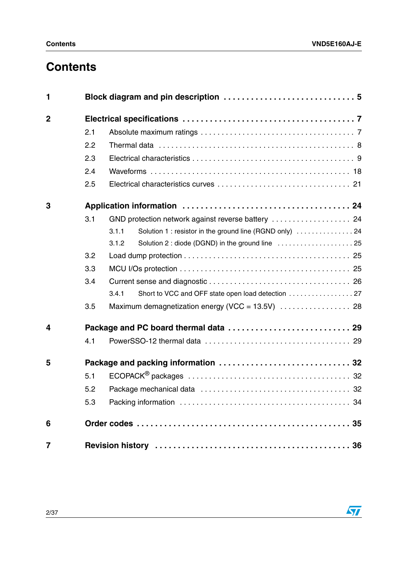## **Contents**

| 1              |     |                                                                   |  |  |  |
|----------------|-----|-------------------------------------------------------------------|--|--|--|
| $\overline{2}$ |     |                                                                   |  |  |  |
|                | 2.1 |                                                                   |  |  |  |
|                | 2.2 |                                                                   |  |  |  |
|                | 2.3 |                                                                   |  |  |  |
|                | 2.4 |                                                                   |  |  |  |
|                | 2.5 |                                                                   |  |  |  |
| 3              |     |                                                                   |  |  |  |
|                | 3.1 |                                                                   |  |  |  |
|                |     | Solution 1 : resistor in the ground line (RGND only)  24<br>3.1.1 |  |  |  |
|                |     | Solution 2 : diode (DGND) in the ground line  25<br>3.1.2         |  |  |  |
|                | 3.2 |                                                                   |  |  |  |
|                | 3.3 |                                                                   |  |  |  |
|                | 3.4 |                                                                   |  |  |  |
|                |     | 3.4.1                                                             |  |  |  |
|                | 3.5 |                                                                   |  |  |  |
| 4              |     |                                                                   |  |  |  |
|                | 4.1 |                                                                   |  |  |  |
| 5              |     |                                                                   |  |  |  |
|                | 5.1 |                                                                   |  |  |  |
|                | 5.2 |                                                                   |  |  |  |
|                | 5.3 |                                                                   |  |  |  |
| 6              |     |                                                                   |  |  |  |
| $\overline{7}$ |     |                                                                   |  |  |  |

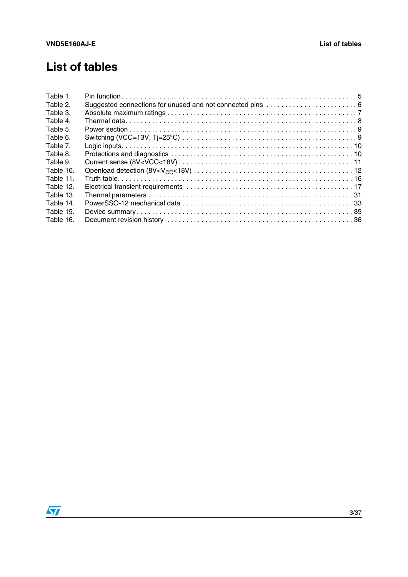## **List of tables**

| Table 1.  |                                                            |
|-----------|------------------------------------------------------------|
| Table 2.  | Suggested connections for unused and not connected pins  6 |
| Table 3.  |                                                            |
| Table 4.  |                                                            |
| Table 5.  |                                                            |
| Table 6.  |                                                            |
| Table 7.  |                                                            |
| Table 8.  |                                                            |
| Table 9.  |                                                            |
| Table 10. |                                                            |
| Table 11. |                                                            |
| Table 12. |                                                            |
| Table 13. |                                                            |
| Table 14. |                                                            |
| Table 15. |                                                            |
| Table 16. |                                                            |

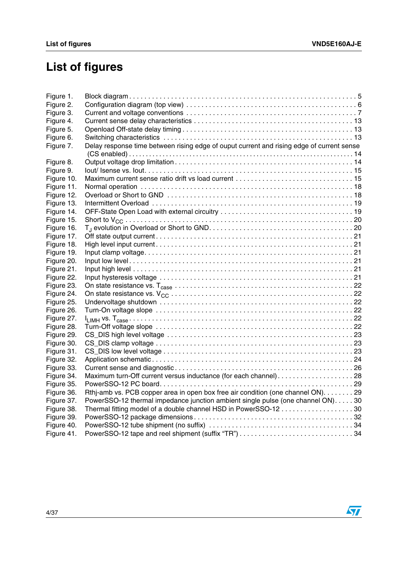# **List of figures**

| Figure 1.  |                                                                                           |  |
|------------|-------------------------------------------------------------------------------------------|--|
| Figure 2.  |                                                                                           |  |
| Figure 3.  |                                                                                           |  |
| Figure 4.  |                                                                                           |  |
| Figure 5.  |                                                                                           |  |
| Figure 6.  |                                                                                           |  |
| Figure 7.  | Delay response time between rising edge of ouput current and rising edge of current sense |  |
|            |                                                                                           |  |
| Figure 8.  |                                                                                           |  |
| Figure 9.  |                                                                                           |  |
| Figure 10. |                                                                                           |  |
| Figure 11. |                                                                                           |  |
| Figure 12. |                                                                                           |  |
| Figure 13. |                                                                                           |  |
| Figure 14. |                                                                                           |  |
| Figure 15. |                                                                                           |  |
| Figure 16. |                                                                                           |  |
| Figure 17. |                                                                                           |  |
| Figure 18. |                                                                                           |  |
| Figure 19. |                                                                                           |  |
| Figure 20. |                                                                                           |  |
| Figure 21. |                                                                                           |  |
| Figure 22. |                                                                                           |  |
| Figure 23. |                                                                                           |  |
| Figure 24. |                                                                                           |  |
| Figure 25. |                                                                                           |  |
| Figure 26. |                                                                                           |  |
| Figure 27. |                                                                                           |  |
| Figure 28. |                                                                                           |  |
| Figure 29. |                                                                                           |  |
| Figure 30. |                                                                                           |  |
| Figure 31. |                                                                                           |  |
| Figure 32. |                                                                                           |  |
| Figure 33. |                                                                                           |  |
| Figure 34. | Maximum turn-Off current versus inductance (for each channel)28                           |  |
| Figure 35. |                                                                                           |  |
| Figure 36. | Rthi-amb vs. PCB copper area in open box free air condition (one channel ON). 29          |  |
| Figure 37. | PowerSSO-12 thermal impedance junction ambient single pulse (one channel ON). 30          |  |
| Figure 38. | Thermal fitting model of a double channel HSD in PowerSSO-12 30                           |  |
| Figure 39. |                                                                                           |  |
| Figure 40. |                                                                                           |  |
| Figure 41. | PowerSSO-12 tape and reel shipment (suffix "TR") 34                                       |  |

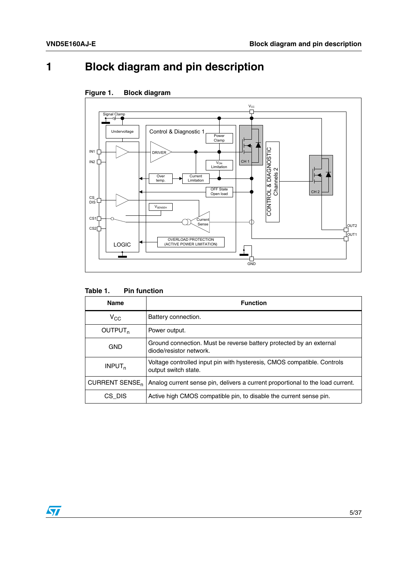## <span id="page-4-0"></span>**[1 Block diagram and pin description](#page-4-2)**



<span id="page-4-2"></span>

<span id="page-4-1"></span>Table 1. **Pin function** 

| <b>Name</b>           | <b>Function</b>                                                                                 |
|-----------------------|-------------------------------------------------------------------------------------------------|
| $V_{CC}$              | Battery connection.                                                                             |
| OUTPUT <sub>n</sub>   | Power output.                                                                                   |
| GND                   | Ground connection. Must be reverse battery protected by an external<br>diode/resistor network.  |
| INPUT <sub>n</sub>    | Voltage controlled input pin with hysteresis, CMOS compatible. Controls<br>output switch state. |
| <b>CURRENT SENSE,</b> | Analog current sense pin, delivers a current proportional to the load current.                  |
| CS DIS                | Active high CMOS compatible pin, to disable the current sense pin.                              |

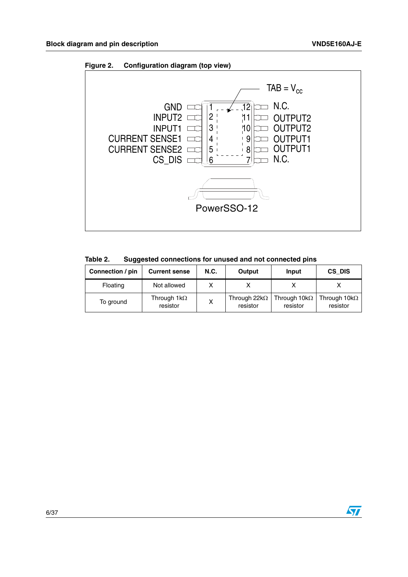<span id="page-5-1"></span>



<span id="page-5-0"></span>**Table 2. Suggested connections for unused and not connected pins**

| Connection / pin | <b>Current sense</b>           | <b>N.C.</b> | Output                           | Input                                                 | CS DIS   |
|------------------|--------------------------------|-------------|----------------------------------|-------------------------------------------------------|----------|
| Floating         | Not allowed                    |             |                                  |                                                       |          |
| To ground        | Through $1k\Omega$<br>resistor |             | Through 22 $k\Omega$<br>resistor | Through $10k\Omega$   Through $10k\Omega$<br>resistor | resistor |

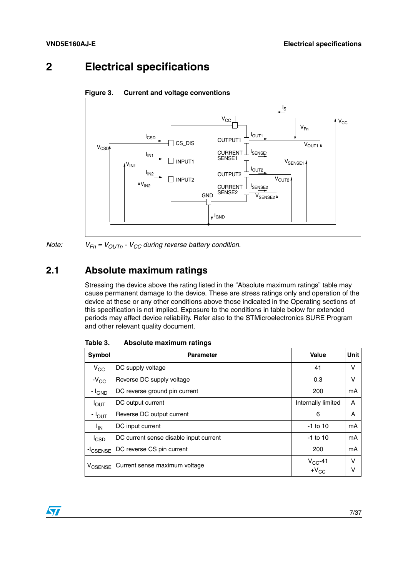### <span id="page-6-0"></span>**2 Electrical specifications**

<span id="page-6-3"></span>



*Note:*  $V_{Fn} = V_{OUTn} - V_{CC}$  *during reverse battery condition.* 

### <span id="page-6-1"></span>**2.1 Absolute maximum ratings**

Stressing the device above the rating listed in the "Absolute maximum ratings" table may cause permanent damage to the device. These are stress ratings only and operation of the device at these or any other conditions above those indicated in the Operating sections of this specification is not implied. Exposure to the conditions in table below for extended periods may affect device reliability. Refer also to the STMicroelectronics SURE Program and other relevant quality document.

| Symbol               | <b>Parameter</b>                       | Value                      | Unit        |
|----------------------|----------------------------------------|----------------------------|-------------|
| $V_{\rm CC}$         | DC supply voltage                      | 41                         | v           |
| $-V_{\rm CC}$        | Reverse DC supply voltage              | 0.3                        | v           |
| - <sup>I</sup> GND   | DC reverse ground pin current          | 200                        | mA          |
| $I_{\text{OUT}}$     | DC output current                      | Internally limited         | A           |
| - I <sub>OUT</sub>   | Reverse DC output current              | 6                          | Α           |
| $I_{IN}$             | DC input current                       | $-1$ to 10                 | mA          |
| <sup>I</sup> CSD     | DC current sense disable input current | $-1$ to 10                 | mA          |
| -I <sub>CSENSE</sub> | DC reverse CS pin current              | 200                        | mA          |
| V <sub>CSENSE</sub>  | Current sense maximum voltage          | $V_{CC}$ -41<br>+ $V_{CC}$ | $\vee$<br>ν |

<span id="page-6-2"></span>Table 3. **Absolute maximum ratings** 

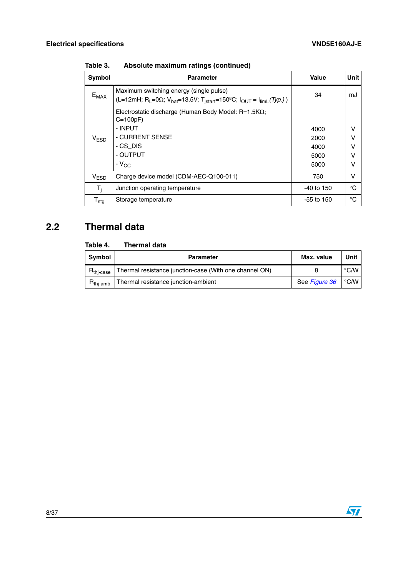| <b>Symbol</b>       | <b>Parameter</b>                                                                                                                                                                                | Value                                | Unit                       |
|---------------------|-------------------------------------------------------------------------------------------------------------------------------------------------------------------------------------------------|--------------------------------------|----------------------------|
| $E_{MAX}$           | Maximum switching energy (single pulse)<br>(L=12mH; R <sub>L</sub> =0 $\Omega$ ; V <sub>bat</sub> =13.5V; T <sub>istart</sub> =150 <sup>o</sup> C; I <sub>OUT</sub> = I <sub>limL</sub> (Typ.)) | 34                                   | mJ                         |
| V <sub>ESD</sub>    | Electrostatic discharge (Human Body Model: R=1.5KQ;<br>$C=100pF$<br>- INPUT<br>- CURRENT SENSE<br>- CS DIS<br>- OUTPUT<br>$-V_{CC}$                                                             | 4000<br>2000<br>4000<br>5000<br>5000 | $\vee$<br>v<br>v<br>v<br>v |
| V <sub>ESD</sub>    | Charge device model (CDM-AEC-Q100-011)                                                                                                                                                          | 750                                  | v                          |
| T,                  | Junction operating temperature                                                                                                                                                                  | $-40$ to 150                         | °C                         |
| ${\sf T}_{\sf stg}$ | Storage temperature                                                                                                                                                                             | $-55$ to 150                         | °C                         |

**Table 3. Absolute maximum ratings (continued)**

### <span id="page-7-0"></span>**2.2 Thermal data**

#### <span id="page-7-1"></span>Table 4. **Thermal data**

| <b>Symbol</b>         | <b>Parameter</b>                                       | Max. value           | Unit                          |
|-----------------------|--------------------------------------------------------|----------------------|-------------------------------|
| $R_{\text{thi-case}}$ | Thermal resistance junction-case (With one channel ON) |                      | $^{\circ}$ C/W $\overline{ }$ |
| $R_{\text{thi-amb}}$  | Thermal resistance junction-ambient                    | See Figure 36   °C/W |                               |

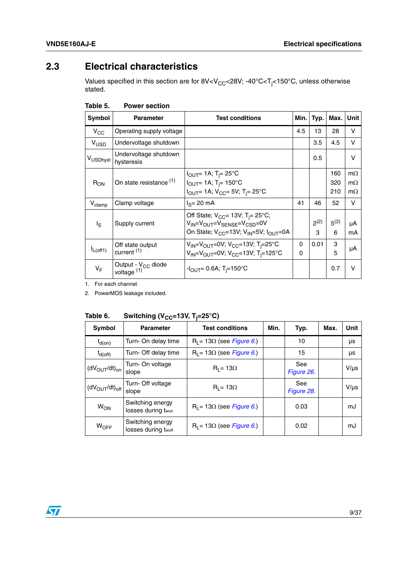### <span id="page-8-0"></span>**2.3 Electrical characteristics**

Values specified in this section are for 8V<V $_{\rm CC}$ <28V; -40°C<T<sub>j</sub><150°C, unless otherwise stated.

| Symbol               | <b>Parameter</b>                                | <b>Test conditions</b>                                                                                                                                       | Min.                 | Typ.           | Max.           | Unit         |
|----------------------|-------------------------------------------------|--------------------------------------------------------------------------------------------------------------------------------------------------------------|----------------------|----------------|----------------|--------------|
| $V_{CC}$             | Operating supply voltage                        |                                                                                                                                                              | 4.5                  | 13             | 28             | v            |
| $V_{USD}$            | Undervoltage shutdown                           |                                                                                                                                                              |                      | 3.5            | 4.5            | v            |
| V <sub>USDhyst</sub> | Undervoltage shutdown<br>hysteresis             |                                                                                                                                                              |                      | 0.5            |                | $\vee$       |
|                      |                                                 | $I_{\text{OUT}}$ = 1A; T <sub>i</sub> = 25°C                                                                                                                 |                      |                | 160            | $m\Omega$    |
| $R_{ON}$             | On state resistance (1)                         | $I_{\text{OUT}} = 1$ A; T <sub>i</sub> = 150°C                                                                                                               |                      |                | 320            | $m\Omega$    |
|                      |                                                 | $I_{\text{OUT}}$ 1A; $V_{\text{CC}}$ = 5V; T <sub>i</sub> = 25°C                                                                                             |                      |                | 210            | $m\Omega$    |
| $V_{\text{clamp}}$   | Clamp voltage                                   | $IS=20$ mA                                                                                                                                                   | 41                   | 46             | 52             | $\mathsf{V}$ |
| $I_{\rm S}$          | Supply current                                  | Off State; $V_{CC}$ = 13V; T <sub>i</sub> = 25°C;<br>$V_{IN} = V_{OUIT} = V_{SENSE} = V_{CSD} = 0V$<br>On State; $V_{CC}$ =13V; $V_{IN}$ =5V; $I_{OUIT}$ =0A |                      | $2^{(2)}$<br>3 | $5^{(2)}$<br>6 | μA<br>mA     |
| $L$ (off1)           | Off state output<br>current <sup>(1)</sup>      | $V_{IN} = V_{OUT} = 0V$ ; $V_{CC} = 13V$ ; T <sub>i</sub> =25°C<br>$V_{IN} = V_{OUT} = 0V$ ; $V_{CC} = 13V$ ; T <sub>i</sub> =125°C                          | $\Omega$<br>$\Omega$ | 0.01           | 3<br>5         | μA           |
| VF                   | Output - V <sub>CC</sub> diode<br>voltage $(1)$ | $-I_{\rm OUT} = 0.6$ A; T <sub>i</sub> =150°C                                                                                                                |                      |                | 0.7            | v            |

<span id="page-8-1"></span>

| Table 5. | <b>Power section</b> |
|----------|----------------------|
|          |                      |

1. For each channel.

2. PowerMOS leakage included.

<span id="page-8-2"></span>

| Table 6. | Switching (V <sub>CC</sub> =13V, T <sub>j</sub> =25°C) |
|----------|--------------------------------------------------------|
|----------|--------------------------------------------------------|

| Symbol                | <u>ບ \ ພບ</u><br><b>Parameter</b>       | <b>Test conditions</b>           | Min. | Typ.              | Max. | Unit      |
|-----------------------|-----------------------------------------|----------------------------------|------|-------------------|------|-----------|
| $t_{d(on)}$           | Turn- On delay time                     | $R_1 = 13\Omega$ (see Figure 6.) |      | 10                |      | μs        |
| $t_{d(off)}$          | Turn- Off delay time                    | $R_1 = 13\Omega$ (see Figure 6.) |      | 15                |      | μs        |
| $(dV_{OUT}/dt)_{on}$  | Turn- On voltage<br>slope               | $R_1 = 13\Omega$                 |      | See<br>Figure 26. |      | $V/\mu s$ |
| $(dV_{OUT}/dt)_{off}$ | Turn- Off voltage<br>slope              | $R_1 = 13\Omega$                 |      | See<br>Figure 28. |      | $V/\mu s$ |
| <b>W<sub>ON</sub></b> | Switching energy<br>losses during twon  | $R_1 = 13\Omega$ (see Figure 6.) |      | 0.03              |      | mJ        |
| WOFF                  | Switching energy<br>losses during twoff | $R_1 = 13\Omega$ (see Figure 6.) |      | 0.02              |      | mJ        |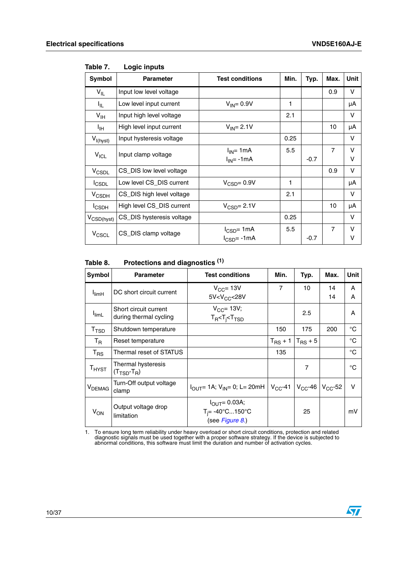$\sqrt{2}$ 

| Symbol                 | <b>Parameter</b>          | <b>Test conditions</b>              | Min. | Typ.   | Max.           | Unit   |
|------------------------|---------------------------|-------------------------------------|------|--------|----------------|--------|
| $V_{IL}$               | Input low level voltage   |                                     |      |        | 0.9            | v      |
| I <sub>IL</sub>        | Low level input current   | $V_{IN} = 0.9V$                     | 1    |        |                | μA     |
| $V_{\text{IH}}$        | Input high level voltage  |                                     | 2.1  |        |                | v      |
| Iн                     | High level input current  | $V_{IN} = 2.1V$                     |      |        | 10             | μA     |
| $V_{I(hyst)}$          | Input hysteresis voltage  |                                     | 0.25 |        |                | v      |
| $V_{ICL}$              | Input clamp voltage       | $I_{IN}$ = 1mA<br>$I_{IN}$ = -1mA   | 5.5  | $-0.7$ | $\overline{7}$ | v<br>v |
| V <sub>CSDL</sub>      | CS_DIS low level voltage  |                                     |      |        | 0.9            | v      |
| <b>I</b> CSDL          | Low level CS_DIS current  | $V_{\text{CSD}} = 0.9V$             | 1    |        |                | μA     |
| $V_{\text{CSDH}}$      | CS_DIS high level voltage |                                     | 2.1  |        |                | v      |
| <b>I</b> CSDH          | High level CS_DIS current | $V_{\text{CSD}} = 2.1V$             |      |        | 10             | μA     |
| $V_{\text{CSD(hyst)}}$ | CS_DIS hysteresis voltage |                                     | 0.25 |        |                | v      |
| V <sub>CSCL</sub>      | CS_DIS clamp voltage      | $I_{CSD}$ = 1mA<br>$I_{CSD} = -1mA$ | 5.5  | $-0.7$ | $\overline{7}$ | v<br>V |

<span id="page-9-0"></span>Table 7. **Logic inputs** 

#### <span id="page-9-1"></span>**Table 8. Protections and diagnostics (1)**

| Symbol                      | <b>Parameter</b>                                      | <b>Test conditions</b>                                                                           | Min.                | Typ.           | Max.         | Unit   |
|-----------------------------|-------------------------------------------------------|--------------------------------------------------------------------------------------------------|---------------------|----------------|--------------|--------|
| <b>I</b> limH               | DC short circuit current                              | $V_{CC}$ = 13V<br>5V < V <sub>CC</sub> < 28V                                                     | 7                   | 10             | 14<br>14     | A<br>A |
| l <sub>limL</sub>           | Short circuit current<br>during thermal cycling       | $V_{CC}$ = 13V;<br>$T_R < T_i < T_{TSD}$                                                         |                     | 2.5            |              | A      |
| $\mathsf{T}_{\mathsf{TSD}}$ | Shutdown temperature                                  |                                                                                                  | 150                 | 175            | 200          | °C     |
| $T_R$                       | Reset temperature                                     |                                                                                                  | $T_{\text{RS}} + 1$ | $T_{RS}$ + 5   |              | °C     |
| $T_{\rm RS}$                | Thermal reset of STATUS                               |                                                                                                  | 135                 |                |              | °C     |
| $T_{H YST}$                 | Thermal hysteresis<br>$(T_{\text{TSD}}-T_{\text{R}})$ |                                                                                                  |                     | $\overline{7}$ |              | °C     |
| V <sub>DEMAG</sub>          | Turn-Off output voltage<br>clamp                      | $I_{\text{OUT}}$ = 1A; V <sub>IN</sub> = 0; L = 20mH   V <sub>CC</sub> -41   V <sub>CC</sub> -46 |                     |                | $V_{CC}$ -52 | $\vee$ |
| $V_{ON}$                    | Output voltage drop<br>limitation                     | $I_{\text{OUT}} = 0.03A;$<br>$T_i = -40^{\circ}C150^{\circ}C$<br>(see Figure 8.)                 |                     | 25             |              | mV     |

1. To ensure long term reliability under heavy overload or short circuit conditions, protection and related diagnostic signals must be used together with a proper software strategy. If the device is subjected to abnormal c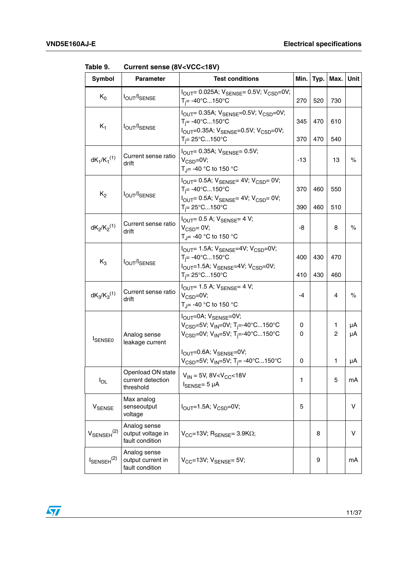| <b>Symbol</b>             | <b>Parameter</b>                                     | <b>Test conditions</b>                                                                                                                                                                                                                 | Min.         | Typ.       | Max.       | Unit     |
|---------------------------|------------------------------------------------------|----------------------------------------------------------------------------------------------------------------------------------------------------------------------------------------------------------------------------------------|--------------|------------|------------|----------|
| $K_0$                     | <b>IOUT/ISENSE</b>                                   | $I_{\text{OUT}} = 0.025A$ ; $V_{\text{SENSE}} = 0.5V$ ; $V_{\text{CSD}} = 0V$ ;<br>$T_i = -40^{\circ}C150^{\circ}C$                                                                                                                    | 270          | 520        | 730        |          |
| $K_1$                     | <b>IOUT/ISENSE</b>                                   | $I_{\text{OUT}} = 0.35$ A; $V_{\text{SENSE}} = 0.5$ V; $V_{\text{CSD}} = 0$ V;<br>$T_i = -40^{\circ}C150^{\circ}C$<br>I <sub>OUT</sub> =0.35A; V <sub>SENSE</sub> =0.5V; V <sub>CSD</sub> =0V;<br>$T_i = 25^{\circ}$ C150 $^{\circ}$ C | 345<br>370   | 470<br>470 | 610<br>540 |          |
| $dK_1/K_1^{(1)}$          | Current sense ratio<br>drift                         | $I_{\text{OUT}}$ = 0.35A; $V_{\text{SENSE}}$ = 0.5V;<br>$V_{CSD} = 0V$ ;<br>T <sub>J</sub> = -40 °C to 150 °C                                                                                                                          | -13          |            | 13         | $\%$     |
| $K_2$                     | <b>IOUT/ISENSE</b>                                   | $I_{\text{OUT}}$ = 0.5A; $V_{\text{SENSE}}$ = 4V; $V_{\text{CSD}}$ = 0V;<br>$T_i = -40^{\circ}C150^{\circ}C$<br>$I_{\text{OUT}}$ = 0.5A; $V_{\text{SENSE}}$ = 4V; $V_{\text{CSD}}$ = 0V;<br>$T_i = 25^{\circ}$ C150 $^{\circ}$ C       | 370<br>390   | 460<br>460 | 550<br>510 |          |
| $dK_2/K_2^{(1)}$          | Current sense ratio<br>drift                         | $I_{\text{OUT}}$ = 0.5 A; $V_{\text{SENSE}}$ = 4 V;<br>$V_{CSD} = 0V$ ;<br>T <sub>.I</sub> = -40 °C to 150 °C                                                                                                                          | -8           |            | 8          | $\%$     |
| $K_3$                     | <b>IOUT/ISENSE</b>                                   | $I_{\text{OUT}}$ = 1.5A; $V_{\text{SENSE}}$ = 4V; $V_{\text{CSD}}$ = 0V;<br>$T_i = -40^{\circ}C150^{\circ}C$<br>$I_{\text{OUT}}$ =1.5A; $V_{\text{SENSE}}$ =4V; $V_{\text{CSD}}$ =0V;<br>$T_i = 25^{\circ}$ C150 $^{\circ}$ C          | 400<br>410   | 430<br>430 | 470<br>460 |          |
| $dK_3/K_3^{(1)}$          | Current sense ratio<br>drift                         | $I_{\text{OUT}}$ 1.5 A; $V_{\text{SENSE}}$ = 4 V;<br>$V_{CSD} = 0V$ ;<br>T <sub>J</sub> = -40 °C to 150 °C                                                                                                                             | -4           |            | 4          | $\%$     |
| <b>ISENSE0</b>            | Analog sense<br>leakage current                      | I <sub>OUT</sub> =0A; V <sub>SENSE</sub> =0V;<br>V <sub>CSD</sub> =5V; V <sub>IN</sub> =0V; T <sub>i</sub> =-40°C150°C<br>$V_{\text{CSD}} = 0V$ ; $V_{\text{IN}} = 5V$ ; T <sub>i</sub> =-40°C150°C                                    | 0<br>0       |            | 1<br>2     | μA<br>μA |
|                           |                                                      | $I_{OUIT} = 0.6A$ ; $V_{SENSE} = 0V$ ;<br>$V_{\text{CSD}}$ =5V; V <sub>IN</sub> =5V; T <sub>j</sub> = -40°C150°C                                                                                                                       | 0            |            | 1          | μA       |
| $I_{OL}$                  | Openload ON state<br>current detection<br>threshold  | $V_{IN}$ = 5V, 8V <v<sub>CC&lt;18V<br/><math>I_{\text{SENSE}} = 5 \mu A</math></v<sub>                                                                                                                                                 | $\mathbf{1}$ |            | 5          | mA       |
| V <sub>SENSE</sub>        | Max analog<br>senseoutput<br>voltage                 | $I_{\text{OUT}}=1.5A; V_{\text{CSD}}=0V;$                                                                                                                                                                                              | 5            |            |            | v        |
| $V_{\text{SENSEH}}^{(2)}$ | Analog sense<br>output voltage in<br>fault condition | $V_{CC}$ =13V; R <sub>SENSE</sub> = 3.9K $\Omega$ ;                                                                                                                                                                                    |              | 8          |            | V        |
| $I_{\text{SENSEH}}^{(2)}$ | Analog sense<br>output current in<br>fault condition | $V_{CC}$ =13V; $V_{SENSE}$ = 5V;                                                                                                                                                                                                       |              | 9          |            | mA       |

<span id="page-10-0"></span>**Table 9. Current sense (8V<VCC<18V)**

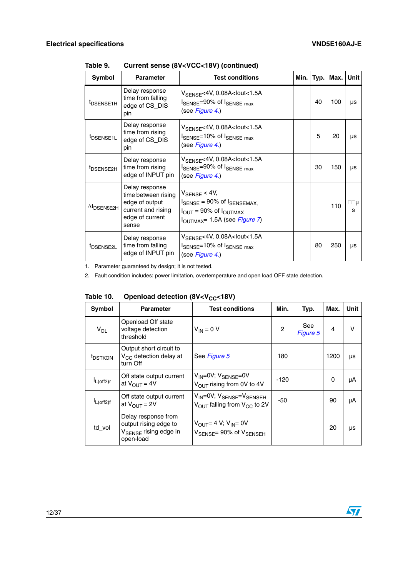| Symbol                         | <b>Parameter</b>                                                                                          | <b>Test conditions</b>                                                                                                                                                      | Min. | Typ. | Max. | Unit     |
|--------------------------------|-----------------------------------------------------------------------------------------------------------|-----------------------------------------------------------------------------------------------------------------------------------------------------------------------------|------|------|------|----------|
| <sup>I</sup> DSENSE1H          | Delay response<br>time from falling<br>edge of CS_DIS<br>pin                                              | V <sub>SENSE</sub> <4V, 0.08A <lout<1.5a<br>ISENSE=90% of ISENSE max<br/>(see Figure 4.)</lout<1.5a<br>                                                                     |      | 40   | 100  | μs       |
| <sup>t</sup> DSENSE1L          | Delay response<br>time from rising<br>edge of CS_DIS<br>pin                                               | $V_{\text{SENSE}}$ <4V, 0.08A <lout<1.5a<br>ISENSE=10% of ISENSE max<br/>(see Figure 4.)</lout<1.5a<br>                                                                     |      | 5    | 20   | μs       |
| <sup>t</sup> DSENSE2H          | Delay response<br>time from rising<br>edge of INPUT pin                                                   | $V_{\rm SFNSF}$ <4V, 0.08A <lout<1.5a<br><math>I_{\text{SENSE}} = 90\%</math> of <math>I_{\text{SENSE max}}</math><br/>(see Figure 4.)</lout<1.5a<br>                       |      | 30   | 150  | μs       |
| $\Delta t$ <sub>DSENSE2H</sub> | Delay response<br>time between rising<br>edge of output<br>current and rising<br>edge of current<br>sense | $V_{\text{SENSE}}$ < 4V,<br>$I_{\text{SENSE}}$ = 90% of $I_{\text{SENSEMAX}}$<br>$I_{\text{OUT}}$ = 90% of $I_{\text{OUTMAX}}$<br>$I_{\text{OUTMAX}}$ = 1.5A (see Figure 7) |      |      | 110  | □□μ<br>s |
| <sup>t</sup> DSENSE2L          | Delay response<br>time from falling<br>edge of INPUT pin                                                  | $V_{\text{SENSE}}$ <4V, 0.08A <lout<1.5a<br>ISENSE=10% of ISENSE max<br/>(see Figure 4.)</lout<1.5a<br>                                                                     |      | 80   | 250  | μs       |

**Table 9. Current sense (8V<VCC<18V) (continued)**

1. Parameter guaranteed by design; it is not tested.

2. Fault condition includes: power limitation, overtemperature and open load OFF state detection.

<span id="page-11-0"></span>

| Table 10. | Openload detection (8V <v<sub>CC&lt;18V)</v<sub> |  |
|-----------|--------------------------------------------------|--|
|           |                                                  |  |

| Symbol              | <b>Parameter</b>                                                                               | <b>Test conditions</b>                                                                          | Min.           | Typ.            | Max.           | Unit |
|---------------------|------------------------------------------------------------------------------------------------|-------------------------------------------------------------------------------------------------|----------------|-----------------|----------------|------|
| $V_{OL}$            | Openload Off state<br>voltage detection<br>threshold                                           | $V_{IN} = 0 V$                                                                                  | $\overline{c}$ | See<br>Figure 5 | $\overline{4}$ | v    |
| <sup>t</sup> DSTKON | Output short circuit to<br>$V_{CC}$ detection delay at<br>turn Off                             | See Figure 5                                                                                    | 180            |                 | 1200           | μs   |
| $I_{L(off2)r}$      | Off state output current<br>at $V_{\text{OUT}} = 4V$                                           | $V_{IN} = 0V$ ; $V_{SENSE} = 0V$<br>$V_{\text{OUT}}$ rising from 0V to 4V                       | $-120$         |                 | $\Omega$       | μA   |
| $I_{L(off2)f}$      | Off state output current<br>at $V_{\text{OUT}} = 2V$                                           | $V_{IN} = 0V$ ; $V_{SENSE} = V_{SENSEH}$<br>$V_{\text{OUT}}$ falling from $V_{\text{CC}}$ to 2V | -50            |                 | 90             | μA   |
| td_vol              | Delay response from<br>output rising edge to<br>V <sub>SENSE</sub> rising edge in<br>open-load | $V_{OIII} = 4 V$ ; $V_{IN} = 0V$<br>$V_{\text{SENSE}} = 90\% \text{ of } V_{\text{SENSEH}}$     |                |                 | 20             | μs   |

12/37

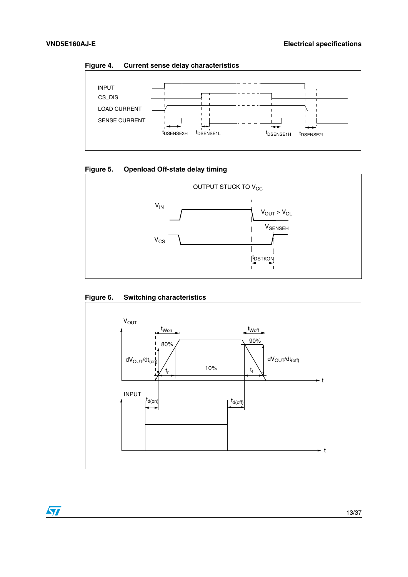<span id="page-12-0"></span>**Figure 4. Current sense delay characteristics**



<span id="page-12-1"></span>



<span id="page-12-2"></span>**Figure 6. Switching characteristics**

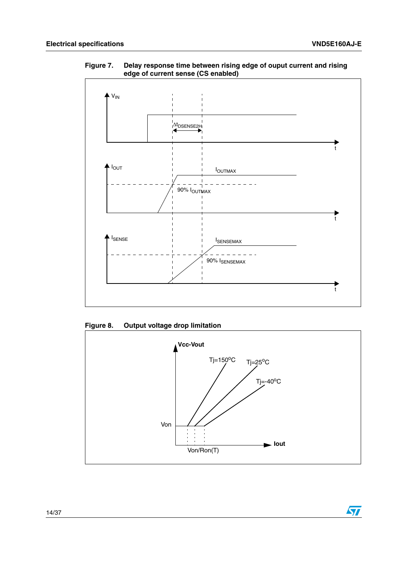$\sqrt{2}$ 



<span id="page-13-0"></span>**Figure 7. Delay response time between rising edge of ouput current and rising edge of current sense (CS enabled)**

<span id="page-13-1"></span>**Figure 8. Output voltage drop limitation**

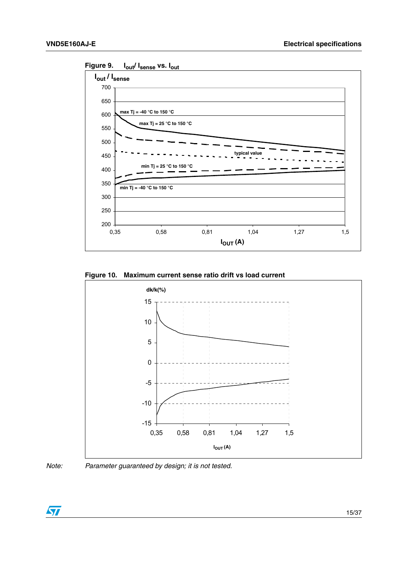

<span id="page-14-0"></span>**Figure 9. Iout/ Isense vs. Iout**

<span id="page-14-1"></span>**Figure 10. Maximum current sense ratio drift vs load current**





*Note: Parameter guaranteed by design; it is not tested.*

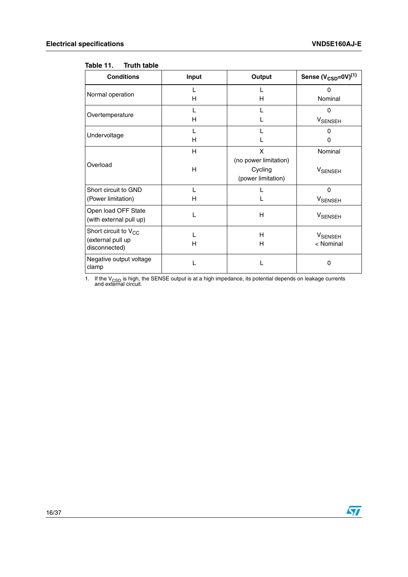#### <span id="page-15-0"></span>**Table 11. Truth table**

| <b>Conditions</b>                                                      | Input  | Output                                                      | Sense $(V_{\text{CSD}}=0V)^{(1)}$ |
|------------------------------------------------------------------------|--------|-------------------------------------------------------------|-----------------------------------|
| Normal operation                                                       | н      | н                                                           | $\Omega$<br>Nominal               |
| Overtemperature                                                        | L<br>н |                                                             | $\Omega$<br><b>V</b> SENSEH       |
| Undervoltage                                                           | L<br>н |                                                             | $\Omega$<br><sup>0</sup>          |
| Overload                                                               | H<br>H | X<br>(no power limitation)<br>Cycling<br>(power limitation) | Nominal<br>V <sub>SENSEH</sub>    |
| Short circuit to GND<br>(Power limitation)                             | L<br>н |                                                             | $\Omega$<br><b>V</b> SENSEH       |
| Open load OFF State<br>(with external pull up)                         | L      | н                                                           | <b>VSENSEH</b>                    |
| Short circuit to V <sub>CC</sub><br>(external pull up<br>disconnected) | L<br>н | н<br>н                                                      | <b>V</b> SENSEH<br>< Nominal      |
| Negative output voltage<br>clamp                                       |        |                                                             | $\Omega$                          |

1. If the V<sub>CSD</sub> is high, the SENSE output is at a high impedance, its potential depends on leakage currents and external circuit.

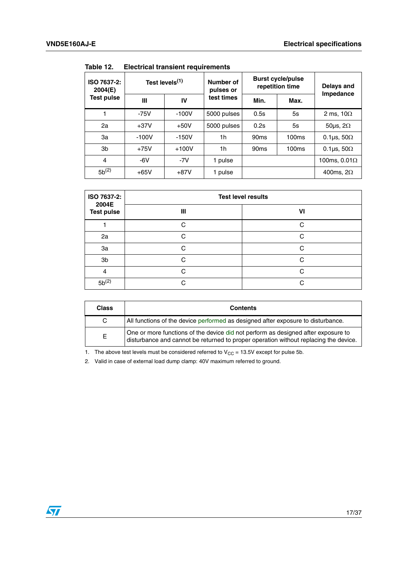| ISO 7637-2:<br>2004(E) | Test levels <sup>(1)</sup> |         | Number of<br>pulses or | <b>Burst cycle/pulse</b><br>repetition time | Delays and<br>Impedance |                          |
|------------------------|----------------------------|---------|------------------------|---------------------------------------------|-------------------------|--------------------------|
| Test pulse             | Ш                          | IV      | test times             | Min.                                        | Max.                    |                          |
|                        | $-75V$                     | $-100V$ | 5000 pulses            | 0.5s                                        | 5s                      | 2 ms, $10\Omega$         |
| 2a                     | $+37V$                     | $+50V$  | 5000 pulses            | 0.2s                                        | 5s                      | 50 $\mu$ s, 2 $\Omega$   |
| За                     | $-100V$                    | $-150V$ | 1h                     | 90 <sub>ms</sub>                            | 100ms                   | 0.1 $\mu$ s, 50 $\Omega$ |
| 3b                     | $+75V$                     | $+100V$ | 1h                     | 90 <sub>ms</sub>                            | 100ms                   | 0.1 $\mu$ s, 50 $\Omega$ |
| 4                      | $-6V$                      | $-7V$   | 1 pulse                |                                             |                         | 100ms, $0.01\Omega$      |
| $5b^{(2)}$             | $+65V$                     | $+87V$  | 1 pulse                |                                             |                         | 400ms, $2\Omega$         |

<span id="page-16-0"></span>Table 12 **Table 12. Electrical transient requirements**

| ISO 7637-2:<br>2004E<br><b>Test pulse</b> | <b>Test level results</b> |    |  |  |  |
|-------------------------------------------|---------------------------|----|--|--|--|
|                                           | Ш                         | VI |  |  |  |
|                                           | ⌒                         | C  |  |  |  |
| 2a                                        | C                         | C  |  |  |  |
| 3a                                        | C                         | C  |  |  |  |
| 3b                                        | C.                        | C  |  |  |  |
| 4                                         | C                         | C  |  |  |  |
| $5b^{(2)}$                                | ⌒                         | C  |  |  |  |

| <b>Class</b> | <b>Contents</b>                                                                                                                                                           |
|--------------|---------------------------------------------------------------------------------------------------------------------------------------------------------------------------|
| C            | All functions of the device performed as designed after exposure to disturbance.                                                                                          |
| Е            | One or more functions of the device did not perform as designed after exposure to<br>disturbance and cannot be returned to proper operation without replacing the device. |

1. The above test levels must be considered referred to  $V_{CC} = 13.5V$  except for pulse 5b.

2. Valid in case of external load dump clamp: 40V maximum referred to ground.

 $\sqrt{27}$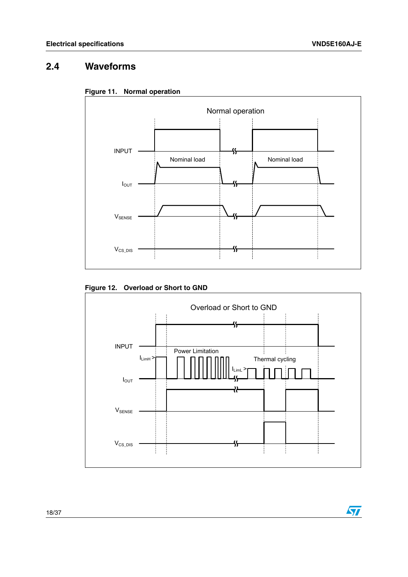$\sqrt{2}$ 

### <span id="page-17-0"></span>**2.4 Waveforms**

<span id="page-17-1"></span>



#### <span id="page-17-2"></span>**Figure 12. Overload or Short to GND**

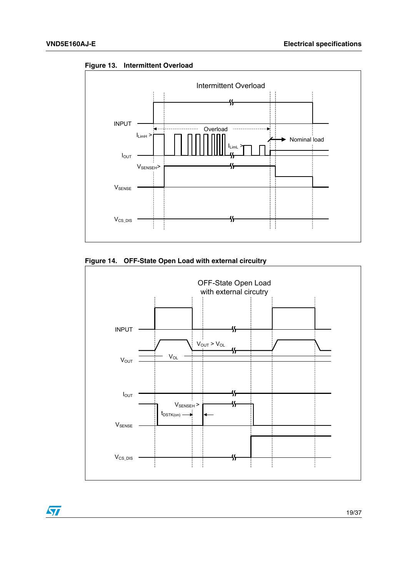

<span id="page-18-0"></span>**Figure 13. Intermittent Overload**



<span id="page-18-1"></span>**Figure 14. OFF-State Open Load with external circuitry**



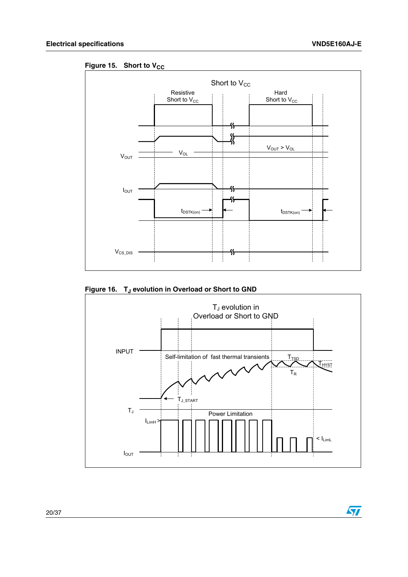$\sqrt{2}$ 

<span id="page-19-0"></span>Figure 15. Short to V<sub>CC</sub>



<span id="page-19-1"></span>Figure 16. T<sub>J</sub> evolution in Overload or Short to GND

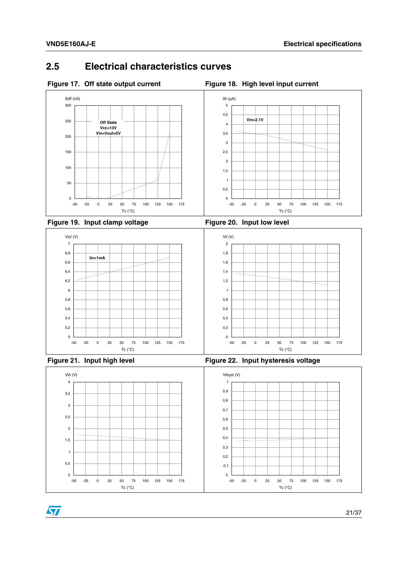### <span id="page-20-0"></span>**2.5 Electrical characteristics curves**

<span id="page-20-1"></span>

<span id="page-20-4"></span><span id="page-20-2"></span>



<span id="page-20-3"></span>

<span id="page-20-5"></span>

ST



<span id="page-20-6"></span>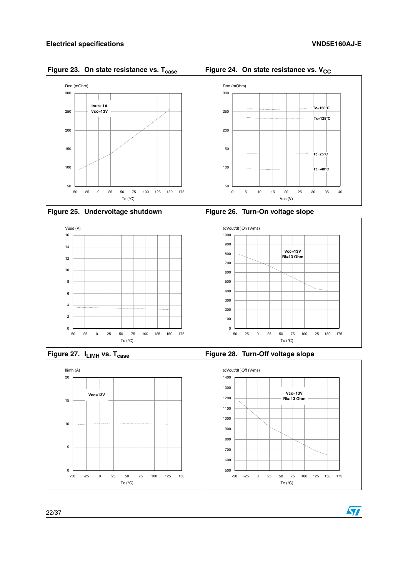

<span id="page-21-0"></span>**Figure 23. On state resistance vs. T<sub>case</sub> Figure 24. On state resistance vs. V<sub>CC</sub>** 

<span id="page-21-2"></span>

<span id="page-21-3"></span><span id="page-21-1"></span>



<span id="page-21-4"></span>





<span id="page-21-5"></span>

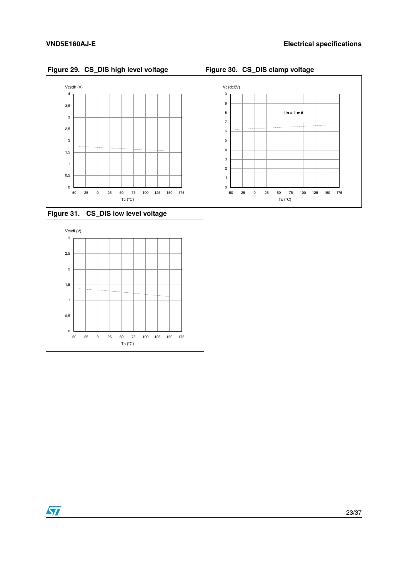<span id="page-22-0"></span>**Figure 29. CS\_DIS high level voltage Figure 30. CS\_DIS clamp voltage**

<span id="page-22-1"></span>



<span id="page-22-2"></span>**Figure 31. CS\_DIS low level voltage**



 $\sqrt{27}$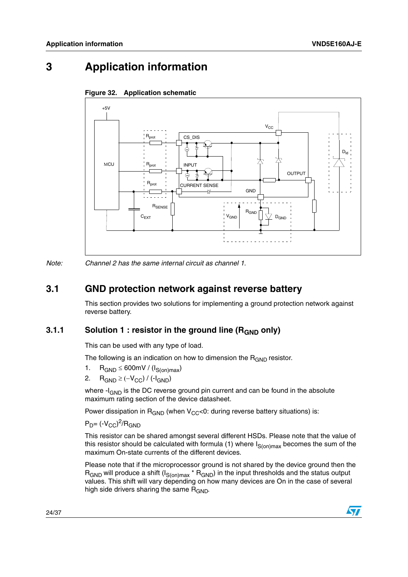## <span id="page-23-1"></span>**3 Application information**



#### <span id="page-23-0"></span>**Figure 32. Application schematic**

*Note: Channel 2 has the same internal circuit as channel 1.*

### <span id="page-23-2"></span>**3.1 GND protection network against reverse battery**

This section provides two solutions for implementing a ground protection network against reverse battery.

#### <span id="page-23-3"></span>**3.1.1** Solution 1 : resistor in the ground line (R<sub>GND</sub> only)

This can be used with any type of load.

The following is an indication on how to dimension the  $R_{GND}$  resistor.

- 1.  $R_{GND} \leq 600$ mV / ( $I_{S(on)max}$ )
- 2.  $R_{GND} \geq (-V_{CC}) / (-I_{GND})$

where  $-I_{GND}$  is the DC reverse ground pin current and can be found in the absolute maximum rating section of the device datasheet.

Power dissipation in  $R_{GND}$  (when  $V_{CC}$ <0: during reverse battery situations) is:

 $P_D$ = (- $V_{CC}$ )<sup>2</sup>/R<sub>GND</sub>

This resistor can be shared amongst several different HSDs. Please note that the value of this resistor should be calculated with formula (1) where  $I_{S(on)max}$  becomes the sum of the maximum On-state currents of the different devices.

Please note that if the microprocessor ground is not shared by the device ground then the  $R_{GND}$  will produce a shift  $(I_{S(on)max} * R_{GND})$  in the input thresholds and the status output values. This shift will vary depending on how many devices are On in the case of several high side drivers sharing the same  $R_{GND}$ .

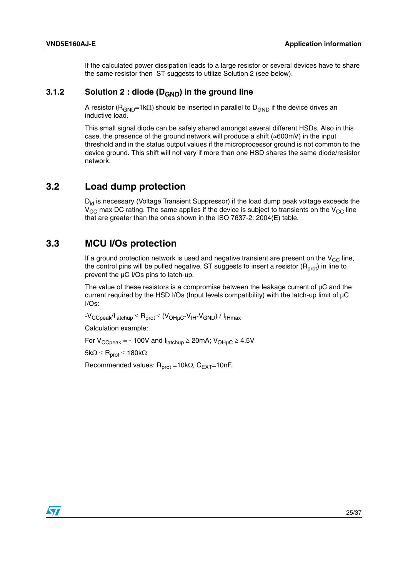If the calculated power dissipation leads to a large resistor or several devices have to share the same resistor then ST suggests to utilize Solution 2 (see below).

#### <span id="page-24-0"></span>**3.1.2** Solution 2 : diode (D<sub>GND</sub>) in the ground line

A resistor ( $R_{GND}=1k\Omega$ ) should be inserted in parallel to  $D_{GND}$  if the device drives an inductive load.

This small signal diode can be safely shared amongst several different HSDs. Also in this case, the presence of the ground network will produce a shift ( $\approx 600$ mV) in the input threshold and in the status output values if the microprocessor ground is not common to the device ground. This shift will not vary if more than one HSD shares the same diode/resistor network.

#### <span id="page-24-1"></span>**3.2 Load dump protection**

 $D_{\text{ld}}$  is necessary (Voltage Transient Suppressor) if the load dump peak voltage exceeds the  $V_{\text{CC}}$  max DC rating. The same applies if the device is subject to transients on the  $V_{\text{CC}}$  line that are greater than the ones shown in the ISO 7637-2: 2004(E) table.

#### <span id="page-24-2"></span>**3.3 MCU I/Os protection**

If a ground protection network is used and negative transient are present on the  $V_{CC}$  line, the control pins will be pulled negative. ST suggests to insert a resistor  $(R_{prot})$  in line to prevent the µC I/Os pins to latch-up.

The value of these resistors is a compromise between the leakage current of  $\mu$ C and the current required by the HSD I/Os (Input levels compatibility) with the latch-up limit of µC I/Os:

 $-V_{CCpeak}/I_{\text{latchup}} \leq R_{prot} \leq (V_{OH\mu C} - V_{\text{lH}} - V_{GND}) / I_{\text{lHmax}}$ 

Calculation example:

For  $V_{CCpeak}$  = - 100V and  $I_{\text{latchup}} \geq 20$  mA;  $V_{\text{OHuC}} \geq 4.5V$ 

 $5k\Omega \leq R_{prot} \leq 180k\Omega$ 

Recommended values:  $R_{prot} = 10k\Omega$ ,  $C_{EXT} = 10nF$ .

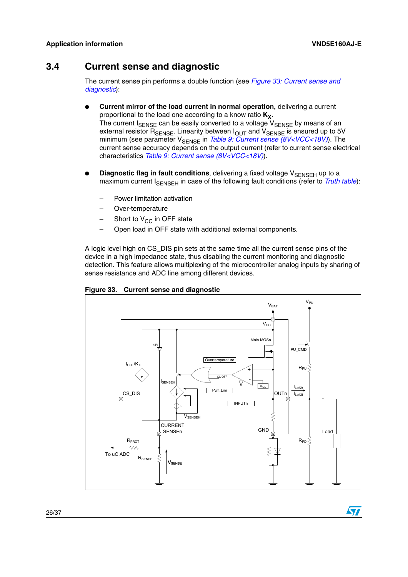**S7** 

### <span id="page-25-0"></span>**3.4 Current sense and diagnostic**

The current sense pin performs a double function (see *[Figure 33: Current sense and](#page-25-1)  [diagnostic](#page-25-1)*):

- **Current mirror of the load current in normal operation, delivering a current** proportional to the load one according to a know ratio  $K_X$ . The current  $I_{\text{SENSE}}$  can be easily converted to a voltage  $V_{\text{SENSE}}$  by means of an external resistor R<sub>SENSE</sub>. Linearity between I<sub>OUT</sub> and V<sub>SENSE</sub> is ensured up to 5V minimum (see parameter V<sub>SENSE</sub> in *[Table 9: Current sense \(8V<VCC<18V\)](#page-10-0)*). The current sense accuracy depends on the output current (refer to current sense electrical characteristics *[Table 9: Current sense \(8V<VCC<18V\)](#page-10-0)*).
- **Diagnostic flag in fault conditions**, delivering a fixed voltage V<sub>SENSEH</sub> up to a maximum current I<sub>SENSEH</sub> in case of the following fault conditions (refer to *[Truth table](#page-15-0)*):
	- Power limitation activation
	- Over-temperature
	- Short to  $V_{CC}$  in OFF state
	- Open load in OFF state with additional external components.

A logic level high on CS\_DIS pin sets at the same time all the current sense pins of the device in a high impedance state, thus disabling the current monitoring and diagnostic detection. This feature allows multiplexing of the microcontroller analog inputs by sharing of sense resistance and ADC line among different devices.



<span id="page-25-1"></span>**Figure 33. Current sense and diagnostic**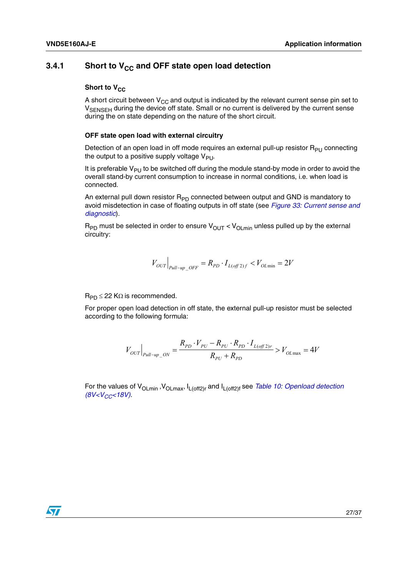#### <span id="page-26-0"></span>**3.4.1** Short to V<sub>CC</sub> and OFF state open load detection

#### **Short to V<sub>CC</sub>**

A short circuit between  $V_{CC}$  and output is indicated by the relevant current sense pin set to V<sub>SENSEH</sub> during the device off state. Small or no current is delivered by the current sense during the on state depending on the nature of the short circuit.

#### **OFF state open load with external circuitry**

Detection of an open load in off mode requires an external pull-up resistor  $R_{PU}$  connecting the output to a positive supply voltage  $V_{\text{PU}}$ .

It is preferable  $V_{PI}$  to be switched off during the module stand-by mode in order to avoid the overall stand-by current consumption to increase in normal conditions, i.e. when load is connected.

An external pull down resistor  $R_{\text{PD}}$  connected between output and GND is mandatory to avoid misdetection in case of floating outputs in off state (see *[Figure 33: Current sense and](#page-25-1)  [diagnostic](#page-25-1)*).

 $R_{PD}$  must be selected in order to ensure  $V_{OUT} < V_{OLmin}$  unless pulled up by the external circuitry:

$$
V_{OUT}|_{\text{pull-up } OF} = R_{PD} \cdot I_{L(off\,2)f} < V_{OL\min} = 2V
$$

 $R_{PD} \leq 22$  K $\Omega$  is recommended.

For proper open load detection in off state, the external pull-up resistor must be selected according to the following formula:

$$
V_{OUT}|_{p_{ull-up\_ON}} = \frac{R_{pD} \cdot V_{pU} - R_{pU} \cdot R_{pD} \cdot I_{L(off\ 2)r}}{R_{pU} + R_{pD}} > V_{OL\text{max}} = 4V
$$

For the values of V<sub>OLmin</sub>, V<sub>OLmax</sub>, I<sub>L(off2)r</sub> and I<sub>L(off2)f</sub> see *Table 10: Openload detection [\(8V<VCC<18V\)](#page-11-0)*.

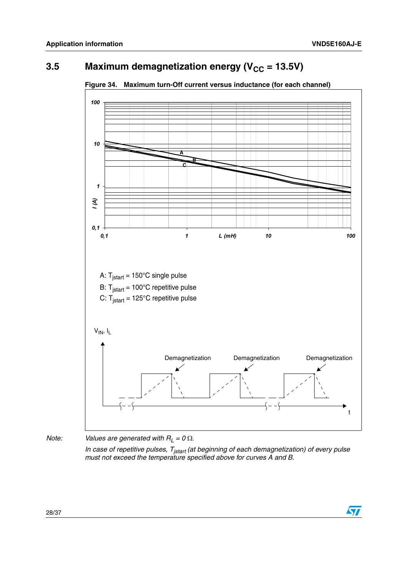$\overline{\mathbf{S}}$ 

### <span id="page-27-0"></span>**3.5** Maximum demagnetization energy ( $V_{CC}$  = 13.5V)



<span id="page-27-1"></span>**Figure 34. Maximum turn-Off current versus inductance (for each channel)** 

*Note: Values are generated with*  $R_L = 0 \Omega$ *.* 

*In case of repetitive pulses, T<sub>jstart</sub> (at beginning of each demagnetization) of every pulse must not exceed the temperature specified above for curves A and B.*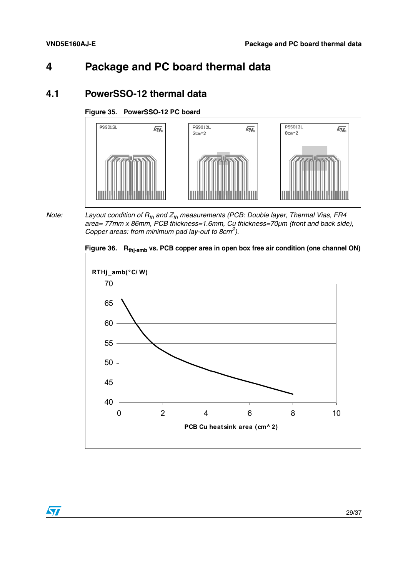### <span id="page-28-0"></span>**4 Package and PC board thermal data**

### <span id="page-28-1"></span>**4.1 PowerSSO-12 thermal data**

#### <span id="page-28-2"></span>**Figure 35. PowerSSO-12 PC board**



*Note:* Layout condition of R<sub>th</sub> and Z<sub>th</sub> measurements (PCB: Double layer, Thermal Vias, FR4 *area= 77mm x 86mm, PCB thickness=1.6mm, Cu thickness=70µm (front and back side), Copper areas: from minimum pad lay-out to 8cm2).* 

<span id="page-28-3"></span>Figure 36. **R<sub>thj-amb</sub> vs. PCB copper area in open box free air condition (one channel ON)** 



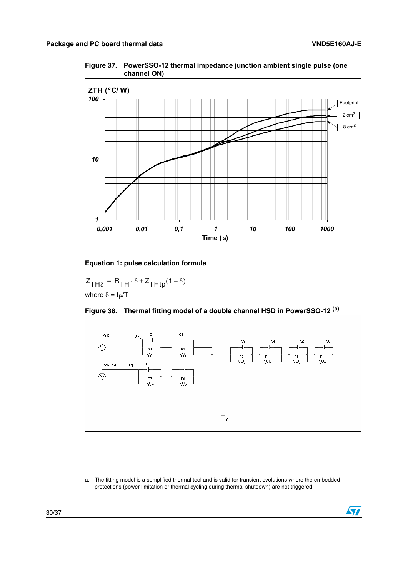<span id="page-29-0"></span>**Figure 37. PowerSSO-12 thermal impedance junction ambient single pulse (one channel ON)**



#### **Equation 1: pulse calculation formula**

 $Z_{TH\delta} = R_{TH} \cdot \delta + Z_{THtp}(1 - \delta)$ where  $\delta = t_P/T$ 



<span id="page-29-1"></span>

a. The fitting model is a semplified thermal tool and is valid for transient evolutions where the embedded protections (power limitation or thermal cycling during thermal shutdown) are not triggered.

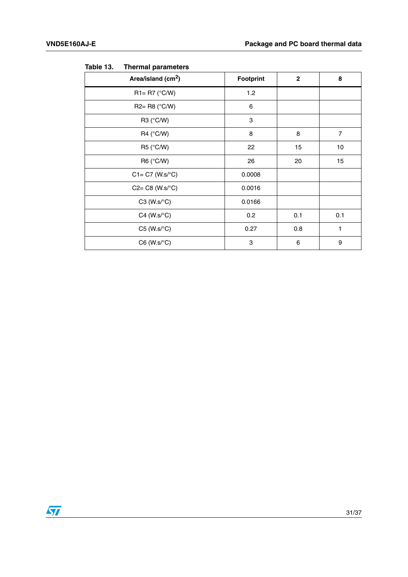| Area/island (cm <sup>2</sup> ) | Footprint | $\mathbf{2}$ | 8              |
|--------------------------------|-----------|--------------|----------------|
| $R1 = R7$ (°C/W)               | 1.2       |              |                |
| $R2 = R8$ (°C/W)               | 6         |              |                |
| R3 (°C/W)                      | 3         |              |                |
| R4 ( $\degree$ C/W)            | 8         | 8            | $\overline{7}$ |
| R5 (°C/W)                      | 22        | 15           | 10             |
| R6 (°C/W)                      | 26        | 20           | 15             |
| $C1 = C7$ (W.s/ $\degree C$ )  | 0.0008    |              |                |
| $C2 = C8$ (W.s/ $\degree$ C)   | 0.0016    |              |                |
| $C3$ (W.s/ $\textdegree C$ )   | 0.0166    |              |                |
| $C4$ (W.s/ $\textdegree C$ )   | 0.2       | 0.1          | 0.1            |
| $C5$ (W.s/ $\textdegree C$ )   | 0.27      | 0.8          | 1              |
| $C6$ (W.s/ $\textdegree C$ )   | 3         | 6            | 9              |
|                                |           |              |                |

<span id="page-30-0"></span>Table 13. **Thermal parameters** 

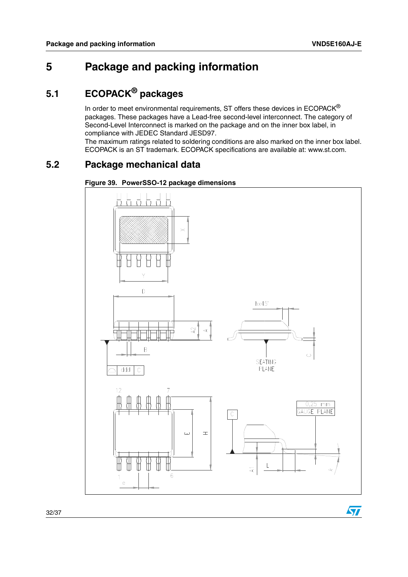$\overline{\mathbf{S}}$ 

### <span id="page-31-0"></span>**5 Package and packing information**

### <span id="page-31-1"></span>**5.1 ECOPACK® packages**

In order to meet environmental requirements, ST offers these devices in ECOPACK® packages. These packages have a Lead-free second-level interconnect. The category of Second-Level Interconnect is marked on the package and on the inner box label, in compliance with JEDEC Standard JESD97.

The maximum ratings related to soldering conditions are also marked on the inner box label. ECOPACK is an ST trademark. ECOPACK specifications are available at: www.st.com.

### <span id="page-31-2"></span>**5.2 Package mechanical data**

<span id="page-31-3"></span>

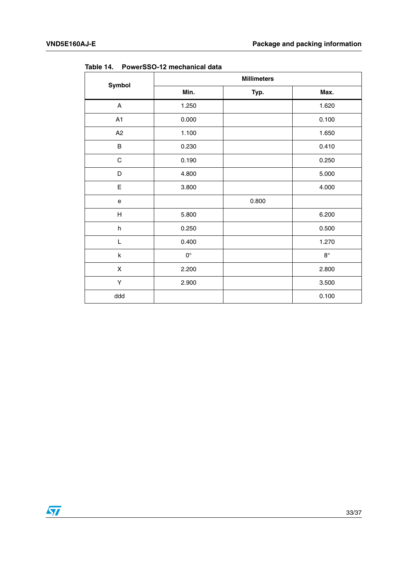| Symbol                            | <b>Millimeters</b> |       |             |  |
|-----------------------------------|--------------------|-------|-------------|--|
|                                   | Min.               | Typ.  | Max.        |  |
| A                                 | 1.250              |       | 1.620       |  |
| A1                                | 0.000              |       | 0.100       |  |
| A2                                | 1.100              |       | 1.650       |  |
| $\sf B$                           | 0.230              |       | 0.410       |  |
| $\mathsf C$                       | 0.190              |       | 0.250       |  |
| D                                 | 4.800              |       | 5.000       |  |
| E                                 | 3.800              |       | 4.000       |  |
| $\mathsf{e}% _{t}\left( t\right)$ |                    | 0.800 |             |  |
| $\boldsymbol{\mathsf{H}}$         | 5.800              |       | 6.200       |  |
| $\sf h$                           | 0.250              |       | 0.500       |  |
| L                                 | 0.400              |       | 1.270       |  |
| k                                 | $\mathsf{O}^\circ$ |       | $8^{\circ}$ |  |
| X                                 | 2.200              |       | 2.800       |  |
| Υ                                 | 2.900              |       | 3.500       |  |
| ddd                               |                    |       | 0.100       |  |

<span id="page-32-0"></span>**Table 14. PowerSSO-12 mechanical data**

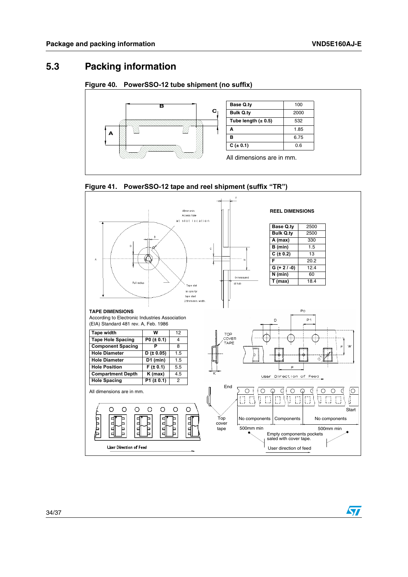$\overline{\mathbf{S}}$ 

### <span id="page-33-0"></span>**5.3 Packing information**

#### <span id="page-33-1"></span>**Figure 40. PowerSSO-12 tube shipment (no suffix)**



| <b>Base Q.ty</b>        | 100  |
|-------------------------|------|
| <b>Bulk Q.tv</b>        | 2000 |
| Tube length $(\pm 0.5)$ | 532  |
| A                       | 1.85 |
| в                       | 6.75 |
| $C (\pm 0.1)$           | 0.6  |
|                         |      |

All dimensions are in mm.

<span id="page-33-2"></span>

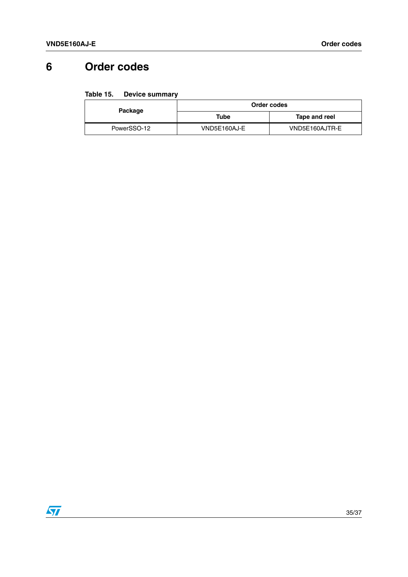## <span id="page-34-0"></span>**6 Order codes**

#### <span id="page-34-1"></span>Table 15. **Table 15. Device summary**

| Package     | Order codes  |                |  |
|-------------|--------------|----------------|--|
|             | Tube         | Tape and reel  |  |
| PowerSSO-12 | VND5E160AJ-E | VND5E160AJTR-E |  |

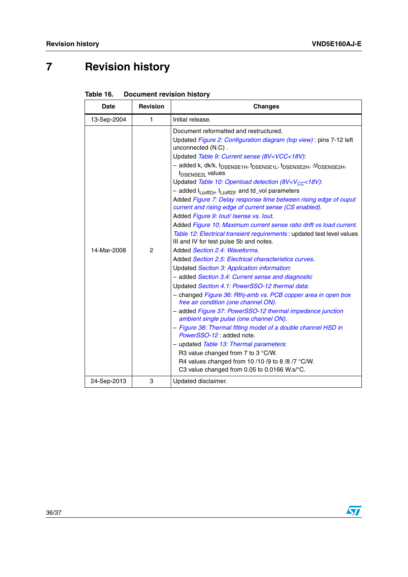# <span id="page-35-0"></span>**7 Revision history**

<span id="page-35-1"></span>

| Table 16. | <b>Document revision history</b> |  |
|-----------|----------------------------------|--|
|-----------|----------------------------------|--|

| <b>Date</b> | <b>Revision</b> | <b>Changes</b>                                                                                                                                                                                                                                                                                                                                                                                                                                                                                                                                                                                                                                                                                                                                                                                                                                                                                                                                                                                                                                                                                                                                                                                                                                                                                                                                                                                                                                                                                                                                                                                                                                 |  |
|-------------|-----------------|------------------------------------------------------------------------------------------------------------------------------------------------------------------------------------------------------------------------------------------------------------------------------------------------------------------------------------------------------------------------------------------------------------------------------------------------------------------------------------------------------------------------------------------------------------------------------------------------------------------------------------------------------------------------------------------------------------------------------------------------------------------------------------------------------------------------------------------------------------------------------------------------------------------------------------------------------------------------------------------------------------------------------------------------------------------------------------------------------------------------------------------------------------------------------------------------------------------------------------------------------------------------------------------------------------------------------------------------------------------------------------------------------------------------------------------------------------------------------------------------------------------------------------------------------------------------------------------------------------------------------------------------|--|
| 13-Sep-2004 | $\mathbf{1}$    | Initial release.                                                                                                                                                                                                                                                                                                                                                                                                                                                                                                                                                                                                                                                                                                                                                                                                                                                                                                                                                                                                                                                                                                                                                                                                                                                                                                                                                                                                                                                                                                                                                                                                                               |  |
| 14-Mar-2008 | $\overline{c}$  | Document reformatted and restructured.<br>Updated Figure 2: Configuration diagram (top view) : pins 7-12 left<br>unconnected (N.C).<br>Updated Table 9: Current sense (8V <vcc<18v):<br>- added k, dk/k, t<sub>DSENSE1H</sub>, t<sub>DSENSE1L</sub>, t<sub>DSENSE2H</sub>, At<sub>DSENSE2H</sub>,<br/>t<sub>DSENSE2L</sub> values<br/>Updated Table 10: Openload detection (8V<v<sub>CC&lt;18V):<br/>- added I<sub>L(off2)r</sub>, I<sub>L(off2)f</sub> and td_vol parameters<br/>Added Figure 7: Delay response time between rising edge of ouput<br/>current and rising edge of current sense (CS enabled).<br/>Added Figure 9: lout/ Isense vs. lout.<br/>Added Figure 10: Maximum current sense ratio drift vs load current.<br/>Table 12: Electrical transient requirements : updated test level values<br/>III and IV for test pulse 5b and notes.<br/>Added Section 2.4: Waveforms.<br/>Added Section 2.5: Electrical characteristics curves.<br/>Updated Section 3: Application information:<br/>- added Section 3.4: Current sense and diagnostic<br/>Updated Section 4.1: PowerSSO-12 thermal data:<br/>- changed Figure 36: Rthj-amb vs. PCB copper area in open box<br/>free air condition (one channel ON).<br/>- added Figure 37: PowerSSO-12 thermal impedance junction<br/>ambient single pulse (one channel ON).<br/>- Figure 38: Thermal fitting model of a double channel HSD in<br/>PowerSSO-12 : added note.<br/>- updated Table 13: Thermal parameters:<br/>R3 value changed from 7 to 3 °C/W.<br/>R4 values changed from 10/10/9 to 8/8/7 °C/W.<br/>C3 value changed from 0.05 to 0.0166 W.s/°C.</v<sub></vcc<18v):<br> |  |
| 24-Sep-2013 | 3               | Updated disclaimer.                                                                                                                                                                                                                                                                                                                                                                                                                                                                                                                                                                                                                                                                                                                                                                                                                                                                                                                                                                                                                                                                                                                                                                                                                                                                                                                                                                                                                                                                                                                                                                                                                            |  |